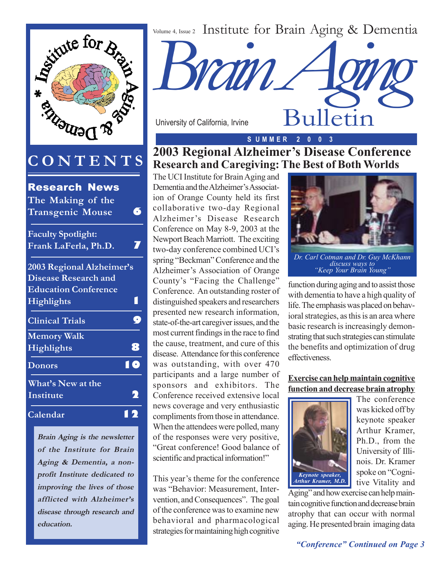

**Brain Aging is the newsletter of the Institute for Brain Aging & Dementia, a nonprofit Institute dedicated to improving the lives of those afflicted with Alzheimer's disease through research and education.**

Volume 4, Issue 2 Institute for Brain Aging & Dementia



University of California, Irvine

### **S U M M E R 2 0 0 3**

**2003 Regional Alzheimer's Disease Conference Research and Caregiving: The Best of Both Worlds**

The UCI Institute for Brain Aging and Dementia and the Alzheimer's Association of Orange County held its first collaborative two-day Regional Alzheimer's Disease Research Conference on May 8-9, 2003 at the Newport Beach Marriott. The exciting two-day conference combined UCI's spring "Beckman" Conference and the Alzheimer's Association of Orange County's "Facing the Challenge" Conference. An outstanding roster of distinguished speakers and researchers presented new research information, state-of-the-art caregiver issues, and the most current findings in the race to find the cause, treatment, and cure of this disease. Attendance for this conference was outstanding, with over 470 participants and a large number of sponsors and exhibitors. The Conference received extensive local news coverage and very enthusiastic compliments from those in attendance. When the attendees were polled, many of the responses were very positive, "Great conference! Good balance of scientific and practical information!"

This year's theme for the conference was "Behavior: Measurement, Intervention, and Consequences". The goal of the conference was to examine new behavioral and pharmacological strategies for maintaining high cognitive



*Dr. Carl Cotman and Dr. Guy McKhann "Keep Your Brain Young"*

function during aging and to assist those with dementia to have a high quality of life. The emphasis was placed on behavioral strategies, as this is an area where basic research is increasingly demonstrating that such strategies can stimulate the benefits and optimization of drug effectiveness.

#### **Exercise can help maintain cognitive function and decrease brain atrophy**



The conference was kicked off by keynote speaker Arthur Kramer, Ph.D., from the University of Illinois. Dr. Kramer spoke on "Cognitive Vitality and

Aging" and how exercise can help maintain cognitive function and decrease brain atrophy that can occur with normal aging. He presented brain imaging data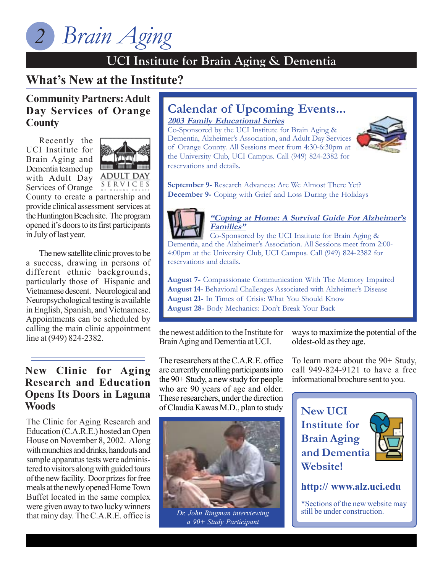### **UCI Institute for Brain Aging & Dementia**

#### **UCI Institute for Brain Aging & Dementia What's New at the Institute?**

**Community Partners: Adult Day Services of Orange County**

Recently the UCI Institute for Brain Aging and Dementia teamed up with Adult Day



SERVICES Services of Orange County to create a partnership and provide clinical assessment services at the Huntington Beach site. The program opened it's doors to its first participants in July of last year.

The new satellite clinic proves to be a success, drawing in persons of different ethnic backgrounds, particularly those of Hispanic and Vietnamese descent. Neurological and Neuropsychological testing is available in English, Spanish, and Vietnamese. Appointments can be scheduled by calling the main clinic appointment line at (949) 824-2382.

### **New Clinic for Aging Research and Education Opens Its Doors in Laguna Woods**

The Clinic for Aging Research and Education (C.A.R.E.) hosted an Open House on November 8, 2002. Along with munchies and drinks, handouts and sample apparatus tests were administered to visitors along with guided tours of the new facility. Door prizes for free meals at the newly opened Home Town Buffet located in the same complex were given away to two lucky winners that rainy day. The C.A.R.E. office is

#### **Family Educational Series Calendar of Upcoming Events... 2003 Family Educational Series**

Co-Sponsored by the UCI Institute for Brain Aging & Dementia, Alzheimer's Association, and Adult Day Services of Orange County. All Sessions meet from 4:30-6:30pm at the University Club, UCI Campus. Call (949) 824-2382 for reservations and details.



**September 9-** Research Advances: Are We Almost There Yet? **December 9-** Coping with Grief and Loss During the Holidays



#### **"Coping at Home: A Survival Guide For Alzheimer's Families"**

Co-Sponsored by the UCI Institute for Brain Aging & Dementia, and the Alzheimer's Association. All Sessions meet from 2:00- 4:00pm at the University Club, UCI Campus. Call (949) 824-2382 for reservations and details.

**August 7-** Compassionate Communication With The Memory Impaired **August 14-** Behavioral Challenges Associated with Alzheimer's Disease **August 21-** In Times of Crisis: What You Should Know **August 28-** Body Mechanics: Don't Break Your Back

the newest addition to the Institute for Brain Aging and Dementia at UCI.

The researchers at the C.A.R.E. office are currently enrolling participants into the 90+ Study, a new study for people who are 90 years of age and older. These researchers, under the direction of Claudia Kawas M.D., plan to study



*a 90+ Study Participant*

ways to maximize the potential of the oldest-old as they age.

To learn more about the 90+ Study, call 949-824-9121 to have a free informational brochure sent to you.

**New UCI Institute for Brain Aging and Dementia Website!**



**http:// www.alz.uci.edu**

\*Sections of the new website may *Dr. John Ringman interviewing* still be under construction.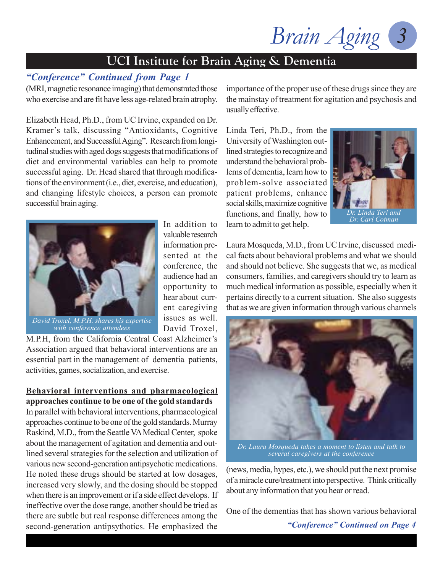### **UCI Institute for Brain Aging & Dementia**

### *"Conference" Continued from Page 1*

(MRI, magnetic resonance imaging) that demonstrated those who exercise and are fit have less age-related brain atrophy.

Elizabeth Head, Ph.D., from UC Irvine, expanded on Dr. Kramer's talk, discussing "Antioxidants, Cognitive Enhancement, and Successful Aging". Research from longitudinal studies with aged dogs suggests that modifications of diet and environmental variables can help to promote successful aging. Dr. Head shared that through modifications of the environment (i.e., diet, exercise, and education), and changing lifestyle choices, a person can promote successful brain aging.



*David Troxel, M.P.H. shares his expertise with conference attendees*

In addition to valuable research information presented at the conference, the audience had an opportunity to hear about current caregiving issues as well. David Troxel,

M.P.H, from the California Central Coast Alzheimer's Association argued that behavioral interventions are an essential part in the management of dementia patients, activities, games, socialization, and exercise.

#### **Behavioral interventions and pharmacological approaches continue to be one of the gold standards**

In parallel with behavioral interventions, pharmacological approaches continue to be one of the gold standards. Murray Raskind, M.D., from the Seattle VA Medical Center, spoke about the management of agitation and dementia and outlined several strategies for the selection and utilization of various new second-generation antipsychotic medications. He noted these drugs should be started at low dosages, increased very slowly, and the dosing should be stopped when there is an improvement or if a side effect develops. If ineffective over the dose range, another should be tried as there are subtle but real response differences among the second-generation antipsythotics. He emphasized the

importance of the proper use of these drugs since they are the mainstay of treatment for agitation and psychosis and usually effective.

Linda Teri, Ph.D., from the University of Washington outlined strategies to recognize and understand the behavioral problems of dementia, learn how to problem-solve associated patient problems, enhance social skills, maximize cognitive functions, and finally, how to learn to admit to get help.



Laura Mosqueda, M.D., from UC Irvine, discussed medical facts about behavioral problems and what we should and should not believe. She suggests that we, as medical consumers, families, and caregivers should try to learn as much medical information as possible, especially when it pertains directly to a current situation. She also suggests that as we are given information through various channels



*Dr. Laura Mosqueda takes a moment to listen and talk to several caregivers at the conference*

(news, media, hypes, etc.), we should put the next promise of a miracle cure/treatment into perspective. Think critically about any information that you hear or read.

One of the dementias that has shown various behavioral

*"Conference" Continued on Page 4*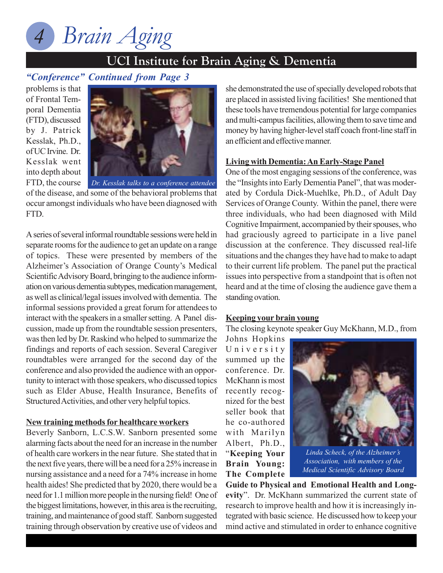### **UCI Institute for Brain Aging & Dementia**

### **UCI Institute for Brain Aging & Dementia** *"Conference" Continued from Page 3*

problems is that of Frontal Temporal Dementia (FTD), discussed by J. Patrick Kesslak, Ph.D., of UC Irvine. Dr. Kesslak went into depth about FTD, the course



*Dr. Kesslak talks to a conference attendee* of the disease, and some of the behavioral problems that occur amongst individuals who have been diagnosed with FTD.

A series of several informal roundtable sessions were held in separate rooms for the audience to get an update on a range of topics. These were presented by members of the Alzheimer's Association of Orange County's Medical Scientific Advisory Board, bringing to the audience information on various dementia subtypes, medication management, as well as clinical/legal issues involved with dementia. The informal sessions provided a great forum for attendees to interact with the speakers in a smaller setting. A Panel discussion, made up from the roundtable session presenters, was then led by Dr. Raskind who helped to summarize the findings and reports of each session. Several Caregiver roundtables were arranged for the second day of the conference and also provided the audience with an opportunity to interact with those speakers, who discussed topics such as Elder Abuse, Health Insurance, Benefits of Structured Activities, and other very helpful topics.

#### **New training methods for healthcare workers**

Beverly Sanborn, L.C.S.W. Sanborn presented some alarming facts about the need for an increase in the number of health care workers in the near future. She stated that in the next five years, there will be a need for a 25% increase in nursing assistance and a need for a 74% increase in home health aides! She predicted that by 2020, there would be a need for 1.1 million more people in the nursing field! One of the biggest limitations, however, in this area is the recruiting, training, and maintenance of good staff. Sanborn suggested training through observation by creative use of videos and

she demonstrated the use of specially developed robots that are placed in assisted living facilities! She mentioned that these tools have tremendous potential for large companies and multi-campus facilities, allowing them to save time and money by having higher-level staff coach front-line staff in an efficient and effective manner.

#### **Living with Dementia: An Early-Stage Panel**

One of the most engaging sessions of the conference, was the "Insights into Early Dementia Panel", that was moderated by Cordula Dick-Muehlke, Ph.D., of Adult Day Services of Orange County. Within the panel, there were three individuals, who had been diagnosed with Mild Cognitive Impairment, accompanied by their spouses, who had graciously agreed to participate in a live panel discussion at the conference. They discussed real-life situations and the changes they have had to make to adapt to their current life problem. The panel put the practical issues into perspective from a standpoint that is often not heard and at the time of closing the audience gave them a standing ovation.

#### **Keeping your brain young**

The closing keynote speaker Guy McKhann, M.D., from

Johns Hopkins University summed up the conference. Dr. McKhann is most recently recognized for the best seller book that he co-authored with Marilyn Albert, Ph.D., "**Keeping Your Brain Young: The Complete**



*Linda Scheck, of the Alzheimer's Association, with members of the Medical Scientific Advisory Board*

**Guide to Physical and Emotional Health and Longevity**". Dr. McKhann summarized the current state of research to improve health and how it is increasingly integrated with basic science. He discussed how to keep your mind active and stimulated in order to enhance cognitive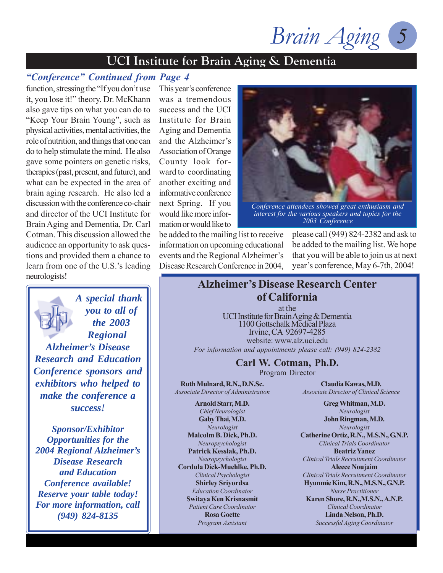### **UCI Institute for Brain Aging & Dementia**

### *"Conference" Continued from Page 4*

function, stressing the "If you don't use it, you lose it!" theory. Dr. McKhann also gave tips on what you can do to "Keep Your Brain Young", such as physical activities, mental activities, the role of nutrition, and things that one can do to help stimulate the mind. He also gave some pointers on genetic risks, therapies (past, present, and future), and what can be expected in the area of brain aging research. He also led a discussion with the conference co-chair and director of the UCI Institute for Brain Aging and Dementia, Dr. Carl Cotman. This discussion allowed the audience an opportunity to ask questions and provided them a chance to learn from one of the U.S.'s leading neurologists!

*A special thank you to all of the 2003 Regional Alzheimer's Disease Research and Education Conference sponsors and exhibitors who helped to make the conference a success!*

*Sponsor/Exhibitor Opportunities for the 2004 Regional Alzheimer's Disease Research and Education Conference available! Reserve your table today! For more information, call (949) 824-8135*

This year's conference was a tremendous success and the UCI Institute for Brain Aging and Dementia and the Alzheimer's Association of Orange County look forward to coordinating another exciting and informative conference next Spring. If you would like more information or would like to



*Conference attendees showed great enthusiasm and interest for the various speakers and topics for the 2003 Conference*

be added to the mailing list to receive information on upcoming educational events and the Regional Alzheimer's Disease Research Conference in 2004, please call (949) 824-2382 and ask to be added to the mailing list. We hope that you will be able to join us at next year's conference, May 6-7th, 2004!

### **Alzheimer's Disease Research Center of California**

at the UCI Institute for Brain Aging & Dementia 1100 Gottschalk Medical Plaza Irvine, CA 92697-4285 website: www.alz.uci.edu *For information and appointments please call: (949) 824-2382*

#### **Carl W. Cotman, Ph.D.**

Program Director

**Ruth Mulnard, R.N., D.N.Sc.** *Associate Director of Administration*

**Arnold Starr, M.D.** *Chief Neurologist* **Gaby Thai, M.D.** *Neurologist* **Malcolm B. Dick, Ph.D.** *Neuropsychologist* **Patrick Kesslak, Ph.D.** *Neuropsychologist* **Cordula Dick-Muehlke, Ph.D.** *Clinical Psychologist* **Shirley Sriyordsa** *Education Coordinator* **Switaya Ken Krisnasmit** *Patient Care Coordinator* **Rosa Goette** *Program Assistant*

**Claudia Kawas, M.D.** *Associate Director of Clinical Science*

> **Greg Whitman, M.D.** *Neurologist* **John Ringman, M.D.**

*Neurologist* **Catherine Ortiz, R.N., M.S.N., G.N.P.** *Clinical Trials Coordinator* **Beatriz Yanez** *Clinical Trials Recruitment Coordinator* **Aleece Noujaim** *Clinical Trials Recruitment Coordinator* **Hyunmie Kim, R.N., M.S.N., G.N.P.** *Nurse Practitioner* **Karen Shore, R.N.,M.S.N., A.N.P.** *Clinical Coordinator* **Linda Nelson, Ph.D.** *Successful Aging Coordinator*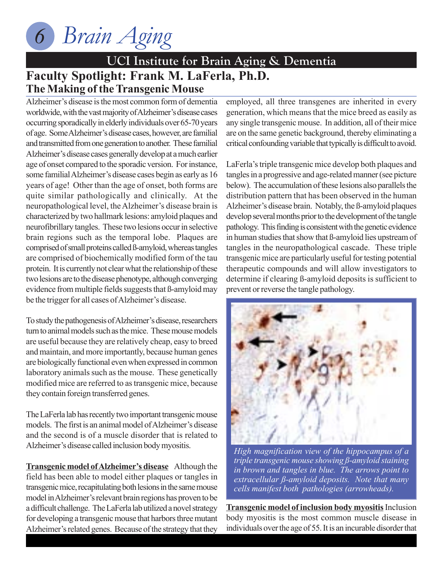

### **Faculty Spotlight: Frank M. LaFerla, Ph.D. UCI Institute for Brain Aging & Dementia The Making of the Transgenic Mouse**

Alzheimer's disease is the most common form of dementia worldwide, with the vast majority of Alzheimer's disease cases occurring sporadically in elderly individuals over 65-70 years of age. Some Alzheimer's disease cases, however, are familial and transmitted from one generation to another. These familial Alzheimer's disease cases generally develop at a much earlier age of onset compared to the sporadic version. For instance, some familial Alzheimer's disease cases begin as early as 16 years of age! Other than the age of onset, both forms are quite similar pathologically and clinically. At the neuropathological level, the Alzheimer's disease brain is characterized by two hallmark lesions: amyloid plaques and neurofibrillary tangles. These two lesions occur in selective brain regions such as the temporal lobe. Plaques are comprised of small proteins called ß-amyloid, whereas tangles are comprised of biochemically modified form of the tau protein. It is currently not clear what the relationship of these two lesions are to the disease phenotype, although converging evidence from multiple fields suggests that ß-amyloid may be the trigger for all cases of Alzheimer's disease.

To study the pathogenesis of Alzheimer's disease, researchers turn to animal models such as the mice. These mouse models are useful because they are relatively cheap, easy to breed and maintain, and more importantly, because human genes are biologically functional even when expressed in common laboratory animals such as the mouse. These genetically modified mice are referred to as transgenic mice, because they contain foreign transferred genes.

The LaFerla lab has recently two important transgenic mouse models. The first is an animal model of Alzheimer's disease and the second is of a muscle disorder that is related to Alzheimer's disease called inclusion body myositis.

**Transgenic model of Alzheimer's disease** Although the field has been able to model either plaques or tangles in transgenic mice, recapitulating both lesions in the same mouse model in Alzheimer's relevant brain regions has proven to be a difficult challenge. The LaFerla lab utilized a novel strategy for developing a transgenic mouse that harbors three mutant Alzheimer's related genes. Because of the strategy that they

employed, all three transgenes are inherited in every generation, which means that the mice breed as easily as any single transgenic mouse. In addition, all of their mice are on the same genetic background, thereby eliminating a critical confounding variable that typically is difficult to avoid.

LaFerla's triple transgenic mice develop both plaques and tangles in a progressive and age-related manner (see picture below). The accumulation of these lesions also parallels the distribution pattern that has been observed in the human Alzheimer's disease brain. Notably, the ß-amyloid plaques develop several months prior to the development of the tangle pathology. This finding is consistent with the genetic evidence in human studies that show that ß-amyloid lies upstream of tangles in the neuropathological cascade. These triple transgenic mice are particularly useful for testing potential therapeutic compounds and will allow investigators to determine if clearing ß-amyloid deposits is sufficient to prevent or reverse the tangle pathology.



*High magnification view of the hippocampus of a triple transgenic mouse showing ß-amyloid staining in brown and tangles in blue. The arrows point to extracellular ß-amyloid deposits. Note that many cells manifest both pathologies (arrowheads).*

**Transgenic model of inclusion body myositis** Inclusion body myositis is the most common muscle disease in individuals over the age of 55. It is an incurable disorder that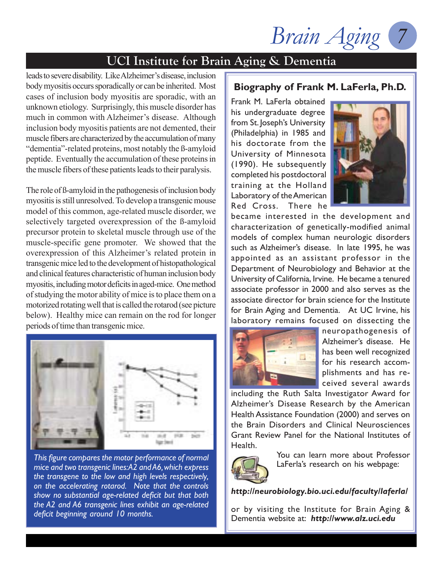Brain Aging

### **UCI Institute for Brain Aging & Dementia**

leads to severe disability. Like Alzheimer's disease, inclusion body myositis occurs sporadically or can be inherited. Most cases of inclusion body myositis are sporadic, with an unknown etiology. Surprisingly, this muscle disorder has much in common with Alzheimer's disease. Although inclusion body myositis patients are not demented, their muscle fibers are characterized by the accumulation of many "dementia"-related proteins, most notably the ß-amyloid peptide. Eventually the accumulation of these proteins in the muscle fibers of these patients leads to their paralysis.

The role of ß-amyloid in the pathogenesis of inclusion body myositis is still unresolved. To develop a transgenic mouse model of this common, age-related muscle disorder, we selectively targeted overexpression of the ß-amyloid precursor protein to skeletal muscle through use of the muscle-specific gene promoter. We showed that the overexpression of this Alzheimer's related protein in transgenic mice led to the development of histopathological and clinical features characteristic of human inclusion body myositis, including motor deficits in aged-mice. One method of studying the motor ability of mice is to place them on a motorized rotating well that is called the rotarod (see picture below). Healthy mice can remain on the rod for longer periods of time than transgenic mice.



*This figure compares the motor performance of normal mice and two transgenic lines: A2 and A6, which express the transgene to the low and high levels respectively, on the accelerating rotarod. Note that the controls show no substantial age-related deficit but that both the A2 and A6 transgenic lines exhibit an age-related deficit beginning around 10 months.*

### **Biography of Frank M. LaFerla, Ph.D.**

Frank M. LaFerla obtained his undergraduate degree from St. Joseph's University (Philadelphia) in 1985 and his doctorate from the University of Minnesota (1990). He subsequently completed his postdoctoral training at the Holland Laboratory of the American Red Cross. There he



became interested in the development and characterization of genetically-modified animal models of complex human neurologic disorders such as Alzheimer's disease. In late 1995, he was appointed as an assistant professor in the Department of Neurobiology and Behavior at the University of California, Irvine. He became a tenured associate professor in 2000 and also serves as the associate director for brain science for the Institute for Brain Aging and Dementia. At UC Irvine, his laboratory remains focused on dissecting the



neuropathogenesis of Alzheimer's disease. He has been well recognized for his research accomplishments and has received several awards

including the Ruth Salta Investigator Award for Alzheimer's Disease Research by the American Health Assistance Foundation (2000) and serves on the Brain Disorders and Clinical Neurosciences Grant Review Panel for the National Institutes of Health.



You can learn more about Professor LaFerla's research on his webpage:

#### *http://neurobiology.bio.uci.edu/faculty/laferla/*

or by visiting the Institute for Brain Aging & Dementia website at: *http://www.alz.uci.edu*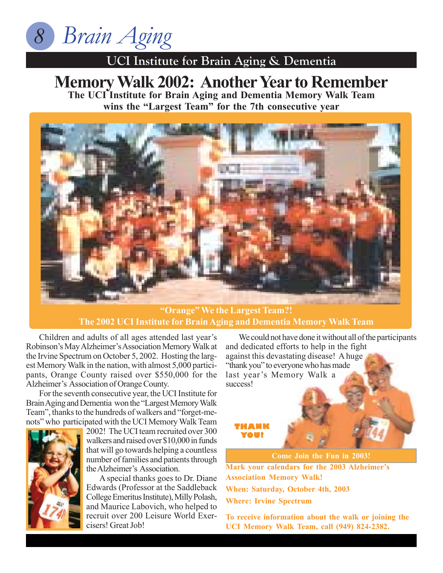

### **UCI Institute for Brain Aging & Dementia**

### **UCI Institute for Brain Aging & Dementia Memory Walk 2002: Another Year to Remember The UCI Institute for Brain Aging and Dementia Memory Walk Team**

**wins the "Largest Team" for the 7th consecutive year**



**"Orange" We the Largest Team?! The 2002 UCI Institute for Brain Aging and Dementia Memory Walk Team**

Children and adults of all ages attended last year's Robinson's May Alzheimer's Association Memory Walk at the Irvine Spectrum on October 5, 2002. Hosting the largest Memory Walk in the nation, with almost 5,000 participants, Orange County raised over \$550,000 for the Alzheimer's Association of Orange County.

For the seventh consecutive year, the UCI Institute for Brain Aging and Dementia won the "Largest Memory Walk Team", thanks to the hundreds of walkers and "forget-menots" who participated with the UCI Memory Walk Team



2002! The UCI team recruited over 300 walkers and raised over \$10,000 in funds that will go towards helping a countless number of families and patients through the Alzheimer's Association.

A special thanks goes to Dr. Diane Edwards (Professor at the Saddleback College Emeritus Institute), Milly Polash, and Maurice Labovich, who helped to recruit over 200 Leisure World Exercisers! Great Job!

We could not have done it without all of the participants and dedicated efforts to help in the fight against this devastating disease! A huge "thank you" to everyone who has made last year's Memory Walk a success!

**THANK YOU!**

**Come Join the Fun in 2003!**

**Mark your calendars for the 2003 Alzheimer's Association Memory Walk!**

**When: Saturday, October 4th, 2003**

**Where: Irvine Spectrum**

**To receive information about the walk or joining the UCI Memory Walk Team, call (949) 824-2382.**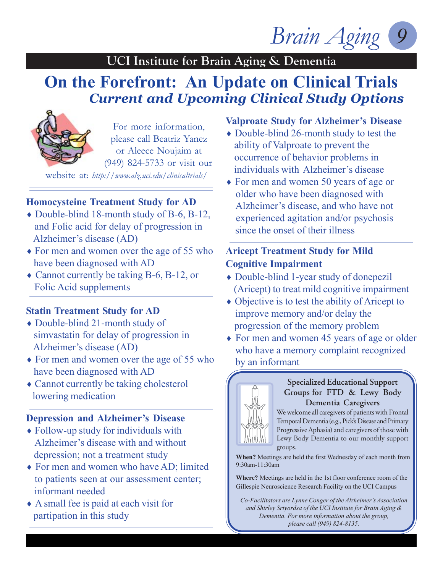### **UCI Institute for Brain Aging & Dementia**

## **On the Forefront: An Update on Clinical Trials** *Current and Upcoming Clinical Study Options*



For more information, please call Beatriz Yanez or Aleece Noujaim at (949) 824-5733 or visit our

website at: *http://www.alz.uci.edu/clinicaltrials/*

### **Homocysteine Treatment Study for AD**

- $\bullet$  Double-blind 18-month study of B-6, B-12, and Folic acid for delay of progression in Alzheimer's disease (AD)
- ♦ For men and women over the age of 55 who have been diagnosed with AD
- ♦ Cannot currently be taking B-6, B-12, or Folic Acid supplements

### **Statin Treatment Study for AD**

- ♦ Double-blind 21-month study of simvastatin for delay of progression in Alzheimer's disease (AD)
- $\rightarrow$  For men and women over the age of 55 who have been diagnosed with AD
- Cannot currently be taking cholesterol lowering medication

### **Depression and Alzheimer's Disease**

- ♦ Follow-up study for individuals with Alzheimer's disease with and without depression; not a treatment study
- ♦ For men and women who have AD; limited to patients seen at our assessment center; informant needed
- $\triangle$  A small fee is paid at each visit for partipation in this study

### **Valproate Study for Alzheimer's Disease**

- $\rightarrow$  Double-blind 26-month study to test the ability of Valproate to prevent the occurrence of behavior problems in individuals with Alzheimer's disease
- ♦ For men and women 50 years of age or older who have been diagnosed with Alzheimer's disease, and who have not experienced agitation and/or psychosis since the onset of their illness

### **Aricept Treatment Study for Mild Cognitive Impairment**

- ♦ Double-blind 1-year study of donepezil (Aricept) to treat mild cognitive impairment
- $\bullet$  Objective is to test the ability of Aricept to improve memory and/or delay the progression of the memory problem
- $\rightarrow$  For men and women 45 years of age or older who have a memory complaint recognized by an informant



### **Specialized Educational Support Groups for FTD & Lewy Body Dementia Caregivers**

We welcome all caregivers of patients with Frontal Temporal Dementia (e.g., Pick's Disease and Primary Progressive Aphasia) and caregivers of those with Lewy Body Dementia to our monthly support groups.

**When?** Meetings are held the first Wednesday of each month from 9:30am-11:30am

**Where?** Meetings are held in the 1st floor conference room of the Gillespie Neuroscience Research Facility on the UCI Campus

*Co-Facilitators are Lynne Conger of the Alzheimer's Association and Shirley Sriyordsa of the UCI Institute for Brain Aging & Dementia. For more information about the group, please call (949) 824-8135.*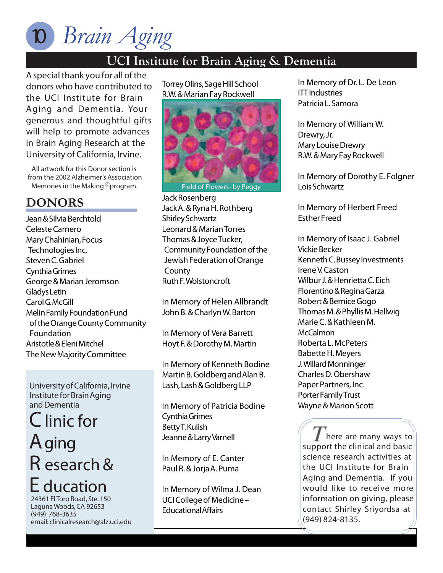### **UCI Institute for Brain Aging & Dementia**

**UCI Institute for Branch** *A special thank you for all of the donors who have contributed to the UCI Institute for Brain Aging and Dementia. Your generous and thoughtful gifts will help to promote advances in Brain Aging Research at the University of California, Irvine.*

All artwork for this Donor section is from the 2002 Alzheimer's Association *from Memories in the Making* <sup>©</sup> program.

### **DONORS**

Jean & Silvia Berchtold Celeste Carnero Mary Chahinian, Focus Technologies Inc. Steven C. Gabriel Cynthia Grimes George & Marian Jeromson Gladys Letin Carol G. McGill Melin Family Foundation Fund of the Orange County Community Foundation Aristotle & Eleni Mitchel The New Majority Committee

**University of California, Irvine Institute for Brain Aging and Dementia**

**C**linic for **A**ging **R** esearch & **E** ducation **24361 El Toro Road, Ste. 150**

**Laguna Woods, CA 92653 (949) 768-3635 email: clinicalresearch@alz.uci.edu** Torrey Olins, Sage Hill School R.W. & Marian Fay Rockwell



*Field of Flowers- by Peggy*

Jack Rosenberg Jack A. & Ryna H. Rothberg Shirley Schwartz Leonard & Marian Torres Thomas & Joyce Tucker, Community Foundation of the Jewish Federation of Orange **County** Ruth F. Wolstoncroft

*In Memory of Helen Allbrandt* John B. & Charlyn W. Barton

*In Memory of Vera Barrett* Hoyt F. & Dorothy M. Martin

*In Memory of Kenneth Bodine* Martin B. Goldberg and Alan B. Lash, Lash & Goldberg LLP

*In Memory of Patricia Bodine* Cynthia Grimes Betty T. Kulish Jeanne & Larry Varnell

*In Memory of E. Canter* Paul R. & Jorja A. Puma

*In Memory of Wilma J. Dean* UCI College of Medicine – Educational Affairs

*In Memory of Dr. L. De Leon* ITT Industries Patricia L. Samora

*In Memory of William W. Drewry, Jr.* Mary Louise Drewry R.W. & Mary Fay Rockwell

*In Memory of Dorothy E. Folgner* Lois Schwartz

*In Memory of Herbert Freed* Esther Freed

*In Memory of Isaac J. Gabriel* Vickie Becker Kenneth C. Bussey Investments Irene V. Caston Wilbur J. & Henrietta C. Eich Florentino & Regina Garza Robert & Bernice Gogo Thomas M. & Phyllis M. Hellwig Marie C. & Kathleen M. **McCalmon** Roberta L. McPeters Babette H. Meyers J. Willard Monninger Charles D. Obershaw Paper Partners, Inc. Porter Family Trust Wayne & Marion Scott

*here are many ways to support the clinical and basic science research activities at the UCI Institute for Brain Aging and Dementia. If you would like to receive more information on giving, please contact Shirley Sriyordsa at (949) 824-8135.*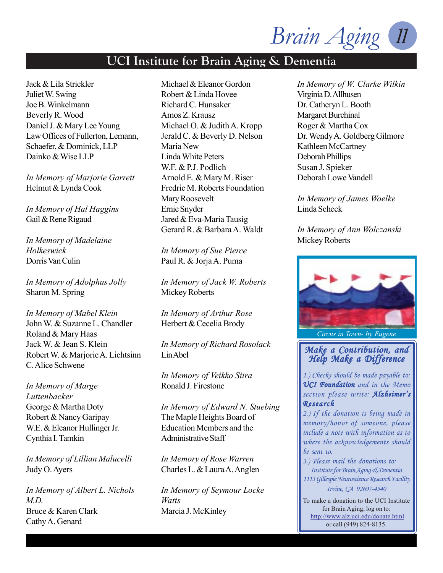### **UCI Institute for Brain Aging & Dementia**

Jack & Lila Strickler Juliet W. Swing Joe B. Winkelmann Beverly R. Wood Daniel J. & Mary Lee Young Law Offices of Fullerton, Lemann, Schaefer, & Dominick, LLP Dainko & Wise LLP

*In Memory of Marjorie Garrett* Helmut & Lynda Cook

*In Memory of Hal Haggins* Gail & Rene Rigaud

*In Memory of Madelaine Holkeswick* Dorris Van Culin

*In Memory of Adolphus Jolly* Sharon M. Spring

*In Memory of Mabel Klein* John W. & Suzanne L. Chandler Roland & Mary Haas Jack W. & Jean S. Klein Robert W. & Marjorie A. Lichtsinn C. Alice Schwene

*In Memory of Marge Luttenbacker* George & Martha Doty Robert & Nancy Garipay W.E. & Eleanor Hullinger Jr. Cynthia I. Tamkin

*In Memory of Lillian Malucelli* Judy O. Ayers

*In Memory of Albert L. Nichols M.D.* Bruce & Karen Clark Cathy A. Genard

Michael & Eleanor Gordon Robert & Linda Hovee Richard C. Hunsaker Amos Z. Krausz Michael O. & Judith A. Kropp Jerald C. & Beverly D. Nelson Maria New Linda White Peters W.F. & P.J. Podlich Arnold E. & Mary M. Riser Fredric M. Roberts Foundation Mary Roosevelt Ernie Snyder Jared & Eva-Maria Tausig Gerard R. & Barbara A. Waldt

*In Memory of Sue Pierce* Paul R. & Jorja A. Puma

*In Memory of Jack W. Roberts* Mickey Roberts

*In Memory of Arthur Rose* Herbert & Cecelia Brody

*In Memory of Richard Rosolack* Lin Abel

*In Memory of Veikko Siira* Ronald J. Firestone

*In Memory of Edward N. Stuebing* The Maple Heights Board of Education Members and the Administrative Staff

*In Memory of Rose Warren* Charles L. & Laura A. Anglen

*In Memory of Seymour Locke Watts* Marcia J. McKinley

*In Memory of W. Clarke Wilkin* Virginia D. Allhusen Dr. Catheryn L. Booth Margaret Burchinal Roger & Martha Cox Dr. Wendy A. Goldberg Gilmore Kathleen McCartney Deborah Phillips Susan J. Spieker Deborah Lowe Vandell

*In Memory of James Woelke* Linda Scheck

*In Memory of Ann Wolczanski* Mickey Roberts



*Circus in Town- by Eugene*

#### *Make a Contribution, and Make a and Help Make a Difference a Difference*

*1.) Checks should be made payable to: UCI Foundation and in the Memo section please write: Alzheimer's Research*

*2.) If the donation is being made in memory/honor of someone, please include a note with information as to where the acknowledgements should be sent to.*

*3.) Please mail the donations to: Institute for Brain Aging & Dementia 1113 Gillespie Neuroscience Research Facility Irvine, CA 92697-4540*

To make a donation to the UCI Institute for Brain Aging, log on to: http://www.alz.uci.edu/donate.html or call (949) 824-8135.